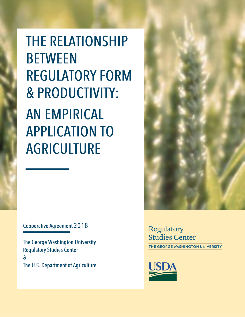**THE RELATIONSHIP BETWEEN REGULATORY FORM & PRODUCTIVITY: AN EMPIRICAL APPLICATION TO AGRICULTURE** 

**Cooperative Agreement 2018** 

The George Washington University **Regulatory Studies Center**  $\boldsymbol{\alpha}$ The U.S. Department of Agriculture Regulatory Studies Center THE GEORGE WASHINGTON UNIVERSITY



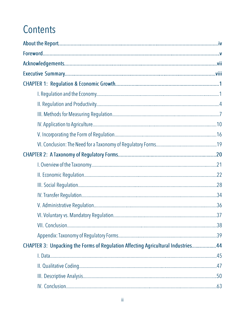# Contents

| CHAPTER 3: Unpacking the Forms of Regulation Affecting Agricultural Industries44 |  |
|----------------------------------------------------------------------------------|--|
|                                                                                  |  |
|                                                                                  |  |
|                                                                                  |  |
|                                                                                  |  |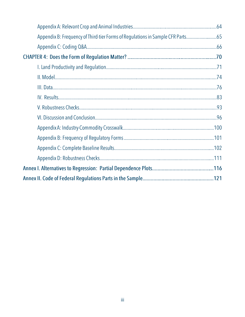| Appendix B: Frequency of Third-tier Forms of Regulations in Sample CFR Parts65 |  |
|--------------------------------------------------------------------------------|--|
|                                                                                |  |
|                                                                                |  |
|                                                                                |  |
|                                                                                |  |
|                                                                                |  |
|                                                                                |  |
|                                                                                |  |
|                                                                                |  |
|                                                                                |  |
|                                                                                |  |
|                                                                                |  |
|                                                                                |  |
|                                                                                |  |
|                                                                                |  |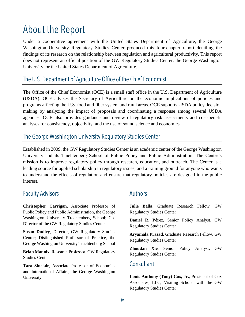### **About the Report**

Under a cooperative agreement with the United States Department of Agriculture, the George Washington University Regulatory Studies Center produced this four-chapter report detailing the findings of its research on the relationship between regulation and agricultural productivity. This report does not represent an official position of the GW Regulatory Studies Center, the George Washington University, or the United States Department of Agriculture.

#### The U.S. Department of Agriculture Office of the Chief Economist

The Office of the Chief Economist (OCE) is a small staff office in the U.S. Department of Agriculture (USDA). OCE advises the Secretary of Agriculture on the economic implications of policies and programs affecting the U.S. food and fiber system and rural areas. OCE supports USDA policy decision making by analyzing the impact of proposals and coordinating a response among several USDA agencies. OCE also provides guidance and review of regulatory risk assessments and cost-benefit analyses for consistency, objectivity, and the use of sound science and economics.

### The George Washington University Regulatory Studies Center

Established in 2009, the GW Regulatory Studies Center is an academic center of the George Washington University and its Trachtenberg School of Public Policy and Public Administration. The Center's mission is to improve regulatory policy through research, education, and outreach. The Center is a leading source for applied scholarship in regulatory issues, and a training ground for anyone who wants to understand the effects of regulation and ensure that regulatory policies are designed in the public interest.

#### **Faculty Advisors**

**Christopher Carrigan**, Associate Professor of Public Policy and Public Administration, the George Washington University Trachtenberg School; Co-Director of the GW Regulatory Studies Center

**Susan Dudley**, Director, GW Regulatory Studies Center; Distinguished Professor of Practice, the George Washington University Trachtenberg School

**Brian Mannix**, Research Professor, GW Regulatory Studies Center

**Tara Sinclair**, Associate Professor of Economics and International Affairs, the George Washington University

#### **Authors**

**Julie Balla**, Graduate Research Fellow, GW Regulatory Studies Center

**Daniel R. Pérez**, Senior Policy Analyst, GW Regulatory Studies Center

**Aryamala Prasad**, Graduate Research Fellow, GW Regulatory Studies Center

**Zhoudan Xie**, Senior Policy Analyst, GW Regulatory Studies Center

#### Consultant

**Louis Anthony (Tony) Cox, Jr.**, President of Cox Associates, LLC; Visiting Scholar with the GW Regulatory Studies Center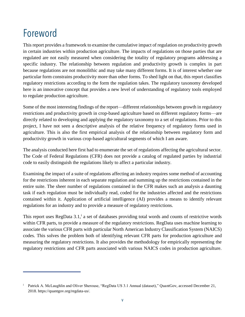## Foreword

This report provides a framework to examine the cumulative impact of regulation on productivity growth in certain industries within production agriculture. The impacts of regulations on those parties that are regulated are not easily measured when considering the totality of regulatory programs addressing a specific industry. The relationship between regulation and productivity growth is complex in part because regulations are not monolithic and may take many different forms. It is of interest whether one particular form constrains productivity more than other forms. To shed light on that, this report classifies regulatory restrictions according to the form the regulation takes. The regulatory taxonomy developed here is an innovative concept that provides a new level of understanding of regulatory tools employed to regulate production agriculture.

Some of the most interesting findings of the report—different relationships between growth in regulatory restrictions and productivity growth in crop-based agriculture based on different regulatory forms—are directly related to developing and applying the regulatory taxonomy to a set of regulations. Prior to this project, I have not seen a descriptive analysis of the relative frequency of regulatory forms used in agriculture. This is also the first empirical analysis of the relationship between regulatory form and productivity growth in various crop-based agricultural segments of which I am aware.

The analysis conducted here first had to enumerate the set of regulations affecting the agricultural sector. The Code of Federal Regulations (CFR) does not provide a catalog of regulated parties by industrial code to easily distinguish the regulations likely to affect a particular industry.

Examining the impact of a suite of regulations affecting an industry requires some method of accounting for the restrictions inherent in each separate regulation and summing up the restrictions contained in the entire suite. The sheer number of regulations contained in the CFR makes such an analysis a daunting task if each regulation must be individually read, coded for the industries affected and the restrictions contained within it. Application of artificial intelligence (AI) provides a means to identify relevant regulations for an industry and to provide a measure of regulatory restrictions.

This report uses RegData 3.1,<sup>i</sup> a set of databases providing total words and counts of restrictive words within CFR parts, to provide a measure of the regulatory restrictions. RegData uses machine learning to associate the various CFR parts with particular North American Industry Classification System (NAICS) codes. This solves the problem both of identifying relevant CFR parts for production agriculture and measuring the regulatory restrictions. It also provides the methodology for empirically representing the regulatory restrictions and CFR parts associated with various NAICS codes in production agriculture.

<sup>&</sup>lt;sup>i</sup> Patrick A. McLaughlin and Oliver Sherouse, "RegData US 3.1 Annual (dataset)," QuantGov, accessed December 21, 2018. https://quantgov.org/regdata-us/.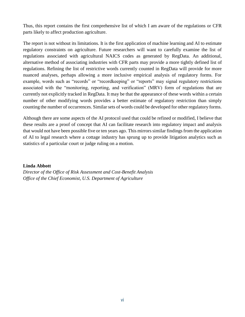Thus, this report contains the first comprehensive list of which I am aware of the regulations or CFR parts likely to affect production agriculture.

The report is not without its limitations. It is the first application of machine learning and AI to estimate regulatory constraints on agriculture. Future researchers will want to carefully examine the list of regulations associated with agricultural NAICS codes as generated by RegData. An additional, alternative method of associating industries with CFR parts may provide a more tightly defined list of regulations. Refining the list of restrictive words currently counted in RegData will provide for more nuanced analyses, perhaps allowing a more inclusive empirical analysis of regulatory forms. For example, words such as "records" or "recordkeeping" or "reports" may signal regulatory restrictions associated with the "monitoring, reporting, and verification" (MRV) form of regulations that are currently not explicitly tracked in RegData. It may be that the appearance of these words within a certain number of other modifying words provides a better estimate of regulatory restriction than simply counting the number of occurrences. Similar sets of words could be developed for other regulatory forms.

Although there are some aspects of the AI protocol used that could be refined or modified, I believe that these results are a proof of concept that AI can facilitate research into regulatory impact and analysis that would not have been possible five or ten years ago. This mirrors similar findings from the application of AI to legal research where a cottage industry has sprung up to provide litigation analytics such as statistics of a particular court or judge ruling on a motion.

#### **Linda Abbott**

*Director of the Office of Risk Assessment and Cost-Benefit Analysis Office of the Chief Economist, U.S. Department of Agriculture*